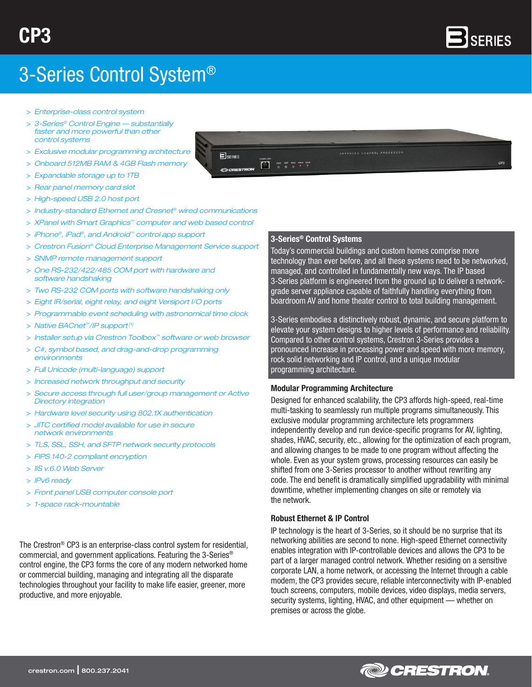

# 3-Series Control System®

- > *Enterprise-class control system*
- > *3-Series® Control Engine substantially faster and more powerful than other control systems*
- > *Exclusive modular programming architecture*
- > *Onboard 512MB RAM & 4GB Flash memory*
- > *Expandable storage up to 1TB*
- > *Rear panel memory card slot*
- > *High-speed USB 2.0 host port*
- > *Industry-standard Ethernet and Cresnet® wired communications*

 $B_{\text{SERIES}}$ 

CRESTRON

 $\Box$ 

PWR NET MSG HWR SWR

- > *XPanel with Smart Graphics™ computer and web based control*
- > *iPhone®, iPad®, and Android™ control app support*
- > *Crestron Fusion® Cloud Enterprise Management Service support*
- > *SNMP remote management support*
- > *One RS-232/422/485 COM port with hardware and software handshaking*
- > *Two RS-232 COM ports with software handshaking only*
- > *Eight IR/serial, eight relay, and eight Versiport I/O ports*
- > *Programmable event scheduling with astronomical time clock*
- > *Native BACnet™/IP support [1]*
- > *Installer setup via Crestron Toolbox™ software or web browser*
- > *C#, symbol based, and drag-and-drop programming environments*
- > *Full Unicode (multi-language) support*
- > *Increased network throughput and security*
- > *Secure access through full user/group management or Active Directory integration*
- > *Hardware level security using 802.1X authentication*
- > *JITC certified model available for use in secure network environments*
- > *TLS, SSL, SSH, and SFTP network security protocols*
- > *FIPS 140-2 compliant encryption*
- > *IIS v.6.0 Web Server*
- > *IPv6 ready*
- > *Front panel USB computer console port*
- > *1-space rack-mountable*

The Crestron® CP3 is an enterprise-class control system for residential, commercial, and government applications. Featuring the 3-Series® control engine, the CP3 forms the core of any modern networked home or commercial building, managing and integrating all the disparate technologies throughout your facility to make life easier, greener, more productive, and more enjoyable.

#### 3-Series® Control Systems

Today's commercial buildings and custom homes comprise more technology than ever before, and all these systems need to be networked, managed, and controlled in fundamentally new ways. The IP based 3-Series platform is engineered from the ground up to deliver a networkgrade server appliance capable of faithfully handling everything from boardroom AV and home theater control to total building management.

*ADVANCED CONTROL PROCESSOR* 

3-Series embodies a distinctively robust, dynamic, and secure platform to elevate your system designs to higher levels of performance and reliability. Compared to other control systems, Crestron 3-Series provides a pronounced increase in processing power and speed with more memory, rock solid networking and IP control, and a unique modular programming architecture.

#### Modular Programming Architecture

Designed for enhanced scalability, the CP3 affords high-speed, real-time multi-tasking to seamlessly run multiple programs simultaneously. This exclusive modular programming architecture lets programmers independently develop and run device-specific programs for AV, lighting, shades, HVAC, security, etc., allowing for the optimization of each program, and allowing changes to be made to one program without affecting the whole. Even as your system grows, processing resources can easily be shifted from one 3-Series processor to another without rewriting any code. The end benefit is dramatically simplified upgradability with minimal downtime, whether implementing changes on site or remotely via the network.

#### Robust Ethernet & IP Control

IP technology is the heart of 3-Series, so it should be no surprise that its networking abilities are second to none. High-speed Ethernet connectivity enables integration with IP-controllable devices and allows the CP3 to be part of a larger managed control network. Whether residing on a sensitive corporate LAN, a home network, or accessing the Internet through a cable modem, the CP3 provides secure, reliable interconnectivity with IP-enabled touch screens, computers, mobile devices, video displays, media servers, security systems, lighting, HVAC, and other equipment — whether on premises or across the globe.

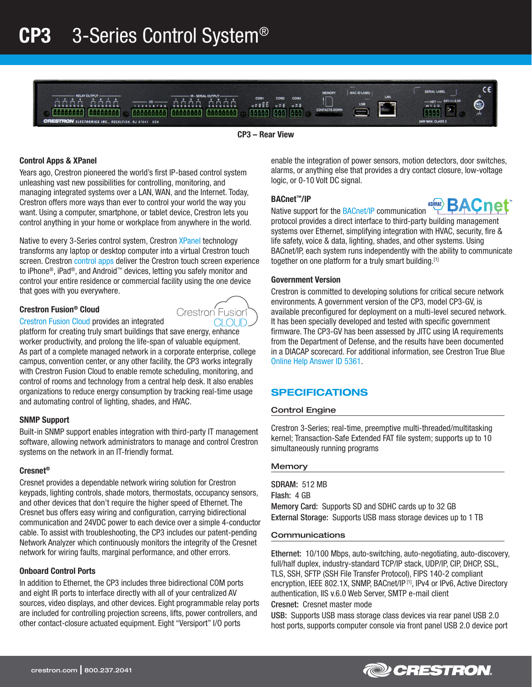

CP3 – Rear View

# Control Apps & XPanel

Years ago, Crestron pioneered the world's first IP-based control system unleashing vast new possibilities for controlling, monitoring, and managing integrated systems over a LAN, WAN, and the Internet. Today, Crestron offers more ways than ever to control your world the way you want. Using a computer, smartphone, or tablet device, Crestron lets you control anything in your home or workplace from anywhere in the world.

Native to every 3-Series control system, Crestron [XPanel](http://www.crestron.com/products/model/xpanel) technology transforms any laptop or desktop computer into a virtual Crestron touch screen. Crestron [control apps](http://www.crestron.com/products/model/crestron-app) deliver the Crestron touch screen experience to iPhone®, iPad®, and Android™ devices, letting you safely monitor and control your entire residence or commercial facility using the one device that goes with you everywhere.

# Crestron Fusion® Cloud



[Crestron Fusion Cloud](http://www.crestron.com/fusion) provides an integrated

platform for creating truly smart buildings that save energy, enhance worker productivity, and prolong the life-span of valuable equipment. As part of a complete managed network in a corporate enterprise, college campus, convention center, or any other facility, the CP3 works integrally with Crestron Fusion Cloud to enable remote scheduling, monitoring, and control of rooms and technology from a central help desk. It also enables organizations to reduce energy consumption by tracking real-time usage and automating control of lighting, shades, and HVAC.

#### SNMP Support

Built-in SNMP support enables integration with third-party IT management software, allowing network administrators to manage and control Crestron systems on the network in an IT-friendly format.

#### Cresnet®

Cresnet provides a dependable network wiring solution for Crestron keypads, lighting controls, shade motors, thermostats, occupancy sensors, and other devices that don't require the higher speed of Ethernet. The Cresnet bus offers easy wiring and configuration, carrying bidirectional communication and 24VDC power to each device over a simple 4-conductor cable. To assist with troubleshooting, the CP3 includes our patent-pending Network Analyzer which continuously monitors the integrity of the Cresnet network for wiring faults, marginal performance, and other errors.

#### Onboard Control Ports

In addition to Ethernet, the CP3 includes three bidirectional COM ports and eight IR ports to interface directly with all of your centralized AV sources, video displays, and other devices. Eight programmable relay ports are included for controlling projection screens, lifts, power controllers, and other contact-closure actuated equipment. Eight "Versiport" I/O ports

enable the integration of power sensors, motion detectors, door switches, alarms, or anything else that provides a dry contact closure, low-voltage logic, or 0-10 Volt DC signal.

#### BACnet™/IP

**BACTER ACT THE BACTER OF COMMUNICATION** Assumed **BACTE** 

protocol provides a direct interface to third-party building management systems over Ethernet, simplifying integration with HVAC, security, fire & life safety, voice & data, lighting, shades, and other systems. Using BACnet/IP, each system runs independently with the ability to communicate together on one platform for a truly smart building.<sup>[1]</sup>

#### Government Version

Crestron is committed to developing solutions for critical secure network environments. A government version of the CP3, model CP3-GV, is available preconfigured for deployment on a multi-level secured network. It has been specially developed and tested with specific government firmware. The CP3-GV has been assessed by JITC using IA requirements from the Department of Defense, and the results have been documented in a DIACAP scorecard. For additional information, see Crestron True Blue [Online Help Answer ID 5361.](https://support.crestron.com/app/answers/detail/a_id/5361/kw/5361)

# SPECIFICATIONS

#### Control Engine

Crestron 3-Series; real-time, preemptive multi-threaded/multitasking kernel; Transaction-Safe Extended FAT file system; supports up to 10 simultaneously running programs

#### **Memory**

SDRAM: 512 MB Flash: 4 GB Memory Card: Supports SD and SDHC cards up to 32 GB External Storage: Supports USB mass storage devices up to 1 TB

#### Communications

Ethernet: 10/100 Mbps, auto-switching, auto-negotiating, auto-discovery, full/half duplex, industry-standard TCP/IP stack, UDP/IP, CIP, DHCP, SSL, TLS, SSH, SFTP (SSH File Transfer Protocol), FIPS 140-2 compliant encryption, IEEE 802.1X, SNMP, BACnet/IP<sup>[1]</sup>, IPv4 or IPv6, Active Directory authentication, IIS v.6.0 Web Server, SMTP e-mail client

Cresnet: Cresnet master mode

USB: Supports USB mass storage class devices via rear panel USB 2.0 host ports, supports computer console via front panel USB 2.0 device port

**@D** CRESTRON